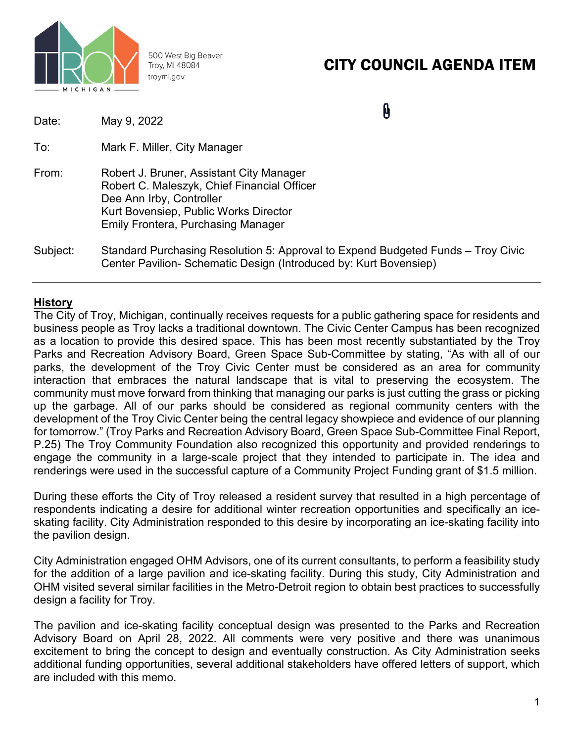

500 West Big Beaver Troy, MI 48084 troymi.gov

# CITY COUNCIL AGENDA ITEM

| Date:    | May 9, 2022                                                                                                                                                                                               |  |
|----------|-----------------------------------------------------------------------------------------------------------------------------------------------------------------------------------------------------------|--|
| To:      | Mark F. Miller, City Manager                                                                                                                                                                              |  |
| From:    | Robert J. Bruner, Assistant City Manager<br>Robert C. Maleszyk, Chief Financial Officer<br>Dee Ann Irby, Controller<br>Kurt Bovensiep, Public Works Director<br><b>Emily Frontera, Purchasing Manager</b> |  |
| Subject: | Standard Purchasing Resolution 5: Approval to Expend Budgeted Funds – Troy Civic<br>Center Pavilion- Schematic Design (Introduced by: Kurt Bovensiep)                                                     |  |

## **History**

The City of Troy, Michigan, continually receives requests for a public gathering space for residents and business people as Troy lacks a traditional downtown. The Civic Center Campus has been recognized as a location to provide this desired space. This has been most recently substantiated by the Troy Parks and Recreation Advisory Board, Green Space Sub-Committee by stating, "As with all of our parks, the development of the Troy Civic Center must be considered as an area for community interaction that embraces the natural landscape that is vital to preserving the ecosystem. The community must move forward from thinking that managing our parks is just cutting the grass or picking up the garbage. All of our parks should be considered as regional community centers with the development of the Troy Civic Center being the central legacy showpiece and evidence of our planning for tomorrow." (Troy Parks and Recreation Advisory Board, Green Space Sub-Committee Final Report, P.25) The Troy Community Foundation also recognized this opportunity and provided renderings to engage the community in a large-scale project that they intended to participate in. The idea and renderings were used in the successful capture of a Community Project Funding grant of \$1.5 million.

During these efforts the City of Troy released a resident survey that resulted in a high percentage of respondents indicating a desire for additional winter recreation opportunities and specifically an iceskating facility. City Administration responded to this desire by incorporating an ice-skating facility into the pavilion design.

City Administration engaged OHM Advisors, one of its current consultants, to perform a feasibility study for the addition of a large pavilion and ice-skating facility. During this study, City Administration and OHM visited several similar facilities in the Metro-Detroit region to obtain best practices to successfully design a facility for Troy.

The pavilion and ice-skating facility conceptual design was presented to the Parks and Recreation Advisory Board on April 28, 2022. All comments were very positive and there was unanimous excitement to bring the concept to design and eventually construction. As City Administration seeks additional funding opportunities, several additional stakeholders have offered letters of support, which are included with this memo.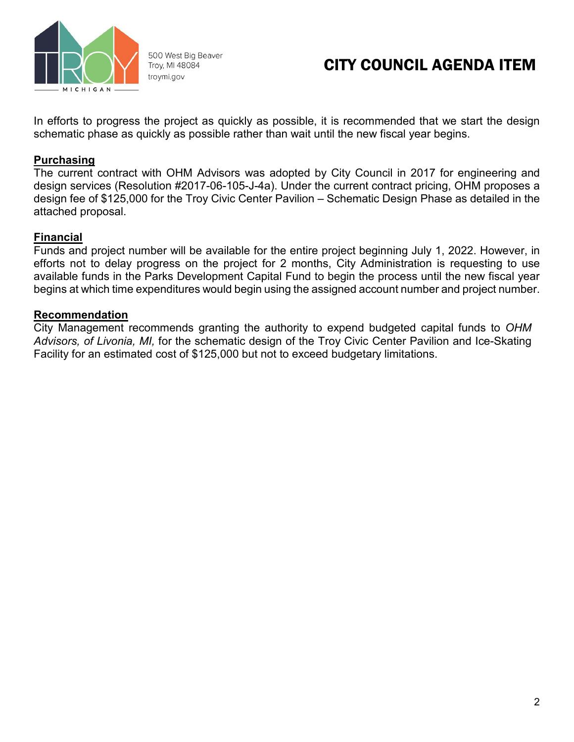

500 West Big Beaver Troy, MI 48084 troymi.gov

## CITY COUNCIL AGENDA ITEM

In efforts to progress the project as quickly as possible, it is recommended that we start the design schematic phase as quickly as possible rather than wait until the new fiscal year begins.

## **Purchasing**

The current contract with OHM Advisors was adopted by City Council in 2017 for engineering and design services (Resolution #2017-06-105-J-4a). Under the current contract pricing, OHM proposes a design fee of \$125,000 for the Troy Civic Center Pavilion – Schematic Design Phase as detailed in the attached proposal.

## **Financial**

Funds and project number will be available for the entire project beginning July 1, 2022. However, in efforts not to delay progress on the project for 2 months, City Administration is requesting to use available funds in the Parks Development Capital Fund to begin the process until the new fiscal year begins at which time expenditures would begin using the assigned account number and project number.

## **Recommendation**

City Management recommends granting the authority to expend budgeted capital funds to *OHM Advisors, of Livonia, MI,* for the schematic design of the Troy Civic Center Pavilion and Ice-Skating Facility for an estimated cost of \$125,000 but not to exceed budgetary limitations.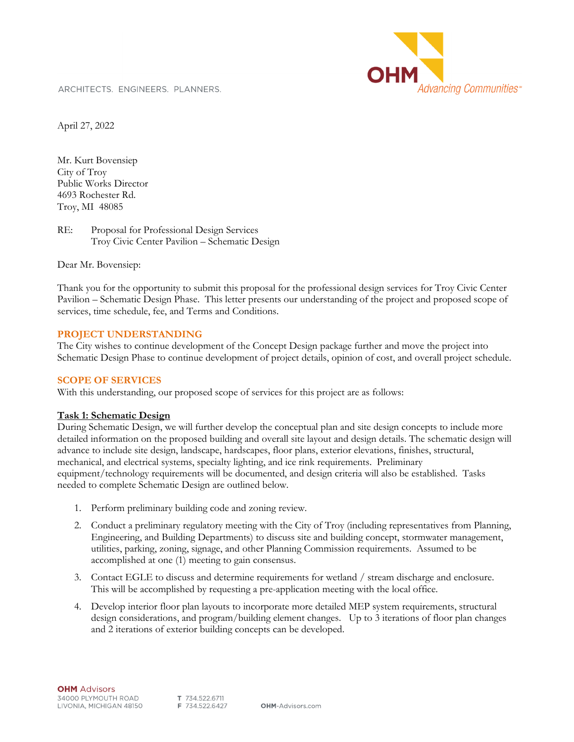ARCHITECTS. ENGINEERS. PLANNERS.



April 27, 2022

Mr. Kurt Bovensiep City of Troy Public Works Director 4693 Rochester Rd. Troy, MI 48085

RE: Proposal for Professional Design Services Troy Civic Center Pavilion – Schematic Design

Dear Mr. Bovensiep:

Thank you for the opportunity to submit this proposal for the professional design services for Troy Civic Center Pavilion – Schematic Design Phase. This letter presents our understanding of the project and proposed scope of services, time schedule, fee, and Terms and Conditions.

#### **PROJECT UNDERSTANDING**

The City wishes to continue development of the Concept Design package further and move the project into Schematic Design Phase to continue development of project details, opinion of cost, and overall project schedule.

#### **SCOPE OF SERVICES**

With this understanding, our proposed scope of services for this project are as follows:

#### **Task 1: Schematic Design**

During Schematic Design, we will further develop the conceptual plan and site design concepts to include more detailed information on the proposed building and overall site layout and design details. The schematic design will advance to include site design, landscape, hardscapes, floor plans, exterior elevations, finishes, structural, mechanical, and electrical systems, specialty lighting, and ice rink requirements. Preliminary equipment/technology requirements will be documented, and design criteria will also be established. Tasks needed to complete Schematic Design are outlined below.

- 1. Perform preliminary building code and zoning review.
- 2. Conduct a preliminary regulatory meeting with the City of Troy (including representatives from Planning, Engineering, and Building Departments) to discuss site and building concept, stormwater management, utilities, parking, zoning, signage, and other Planning Commission requirements. Assumed to be accomplished at one (1) meeting to gain consensus.
- 3. Contact EGLE to discuss and determine requirements for wetland / stream discharge and enclosure. This will be accomplished by requesting a pre-application meeting with the local office.
- 4. Develop interior floor plan layouts to incorporate more detailed MEP system requirements, structural design considerations, and program/building element changes. Up to 3 iterations of floor plan changes and 2 iterations of exterior building concepts can be developed.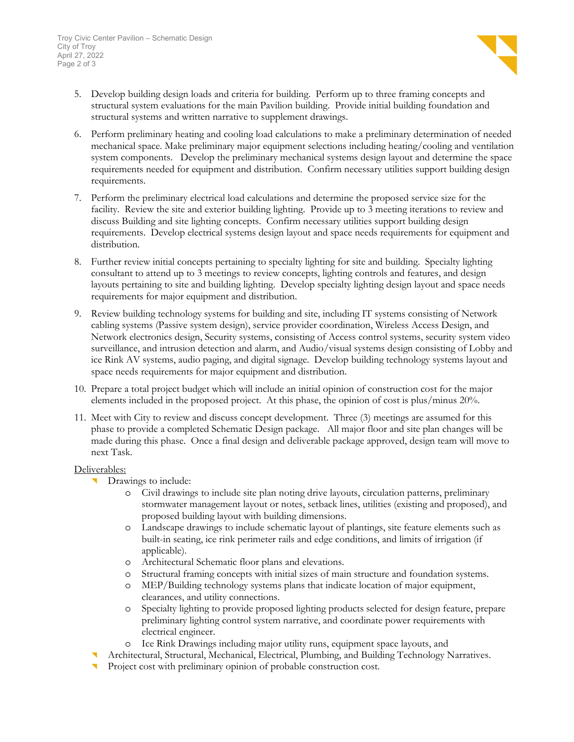- 5. Develop building design loads and criteria for building. Perform up to three framing concepts and structural system evaluations for the main Pavilion building. Provide initial building foundation and structural systems and written narrative to supplement drawings.
- 6. Perform preliminary heating and cooling load calculations to make a preliminary determination of needed mechanical space. Make preliminary major equipment selections including heating/cooling and ventilation system components. Develop the preliminary mechanical systems design layout and determine the space requirements needed for equipment and distribution. Confirm necessary utilities support building design requirements.
- 7. Perform the preliminary electrical load calculations and determine the proposed service size for the facility. Review the site and exterior building lighting. Provide up to 3 meeting iterations to review and discuss Building and site lighting concepts. Confirm necessary utilities support building design requirements. Develop electrical systems design layout and space needs requirements for equipment and distribution.
- 8. Further review initial concepts pertaining to specialty lighting for site and building. Specialty lighting consultant to attend up to 3 meetings to review concepts, lighting controls and features, and design layouts pertaining to site and building lighting. Develop specialty lighting design layout and space needs requirements for major equipment and distribution.
- 9. Review building technology systems for building and site, including IT systems consisting of Network cabling systems (Passive system design), service provider coordination, Wireless Access Design, and Network electronics design, Security systems, consisting of Access control systems, security system video surveillance, and intrusion detection and alarm, and Audio/visual systems design consisting of Lobby and ice Rink AV systems, audio paging, and digital signage. Develop building technology systems layout and space needs requirements for major equipment and distribution.
- 10. Prepare a total project budget which will include an initial opinion of construction cost for the major elements included in the proposed project. At this phase, the opinion of cost is plus/minus 20%.
- 11. Meet with City to review and discuss concept development. Three (3) meetings are assumed for this phase to provide a completed Schematic Design package. All major floor and site plan changes will be made during this phase. Once a final design and deliverable package approved, design team will move to next Task.

#### Deliverables:

- **Drawings to include:** 
	- Civil drawings to include site plan noting drive layouts, circulation patterns, preliminary stormwater management layout or notes, setback lines, utilities (existing and proposed), and proposed building layout with building dimensions.
	- o Landscape drawings to include schematic layout of plantings, site feature elements such as built-in seating, ice rink perimeter rails and edge conditions, and limits of irrigation (if applicable).
	- o Architectural Schematic floor plans and elevations.
	- o Structural framing concepts with initial sizes of main structure and foundation systems.
	- o MEP/Building technology systems plans that indicate location of major equipment, clearances, and utility connections.
	- o Specialty lighting to provide proposed lighting products selected for design feature, prepare preliminary lighting control system narrative, and coordinate power requirements with electrical engineer.
	- o Ice Rink Drawings including major utility runs, equipment space layouts, and
- Architectural, Structural, Mechanical, Electrical, Plumbing, and Building Technology Narratives.
- Project cost with preliminary opinion of probable construction cost.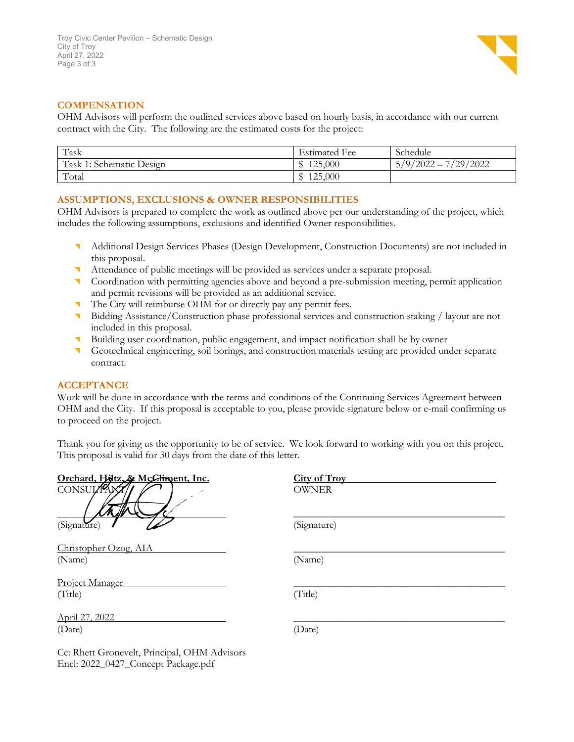

#### **COMPENSATION**

OHM Advisors will perform the outlined services above based on hourly basis, in accordance with our current contract with the City. The following are the estimated costs for the project:

| Task                     | <b>Estimated Fee</b> | Schedule              |
|--------------------------|----------------------|-----------------------|
| Task 1: Schematic Design | 125,000              | 7/29/2022<br>5/9/2022 |
| Total                    | 125,000              |                       |

#### **ASSUMPTIONS, EXCLUSIONS & OWNER RESPONSIBILITIES**

OHM Advisors is prepared to complete the work as outlined above per our understanding of the project, which includes the following assumptions, exclusions and identified Owner responsibilities.

- Additional Design Services Phases (Design Development, Construction Documents) are not included in this proposal.
- Attendance of public meetings will be provided as services under a separate proposal.
- **Coordination with permitting agencies above and beyond a pre-submission meeting, permit application** and permit revisions will be provided as an additional service.
- The City will reimburse OHM for or directly pay any permit fees.
- Bidding Assistance/Construction phase professional services and construction staking / layout are not included in this proposal.
- Building user coordination, public engagement, and impact notification shall be by owner
- Geotechnical engineering, soil borings, and construction materials testing are provided under separate contract.

#### **ACCEPTANCE**

Work will be done in accordance with the terms and conditions of the Continuing Services Agreement between OHM and the City. If this proposal is acceptable to you, please provide signature below or e-mail confirming us to proceed on the project.

Thank you for giving us the opportunity to be of service. We look forward to working with you on this project. This proposal is valid for 30 days from the date of this letter.

| Orchard, Hiltz, & McCliment, Inc. | City of Troy |
|-----------------------------------|--------------|
| CONSULTANT.                       | <b>OWNER</b> |
| (Signature)                       | (Signature)  |
| Christopher Ozog, AIA             |              |
| (Name)                            | (Name)       |
| Project Manager                   |              |
| (Title)                           | (Title)      |
| April 27, 2022                    |              |
| (Date)                            | (Date)       |

Cc: Rhett Gronevelt, Principal, OHM Advisors Encl: 2022\_0427\_Concept Package.pdf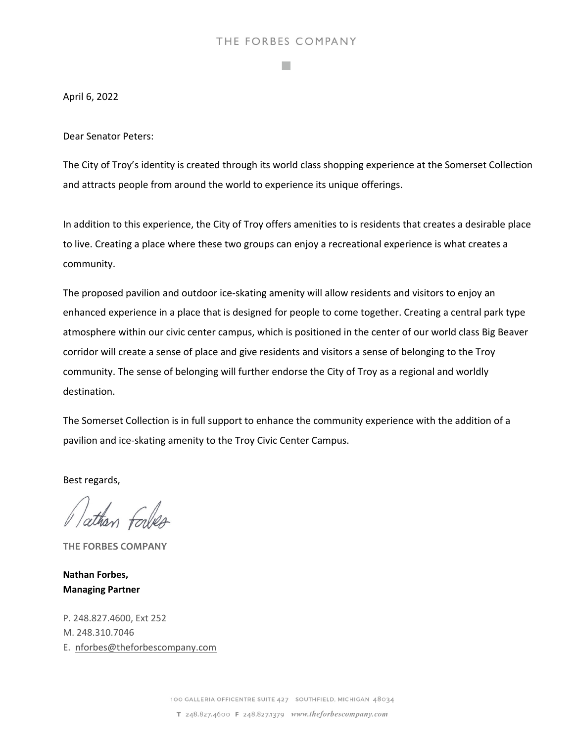### THE FORBES COMPANY

**Tara** 

April 6, 2022

Dear Senator Peters:

The City of Troy's identity is created through its world class shopping experience at the Somerset Collection and attracts people from around the world to experience its unique offerings.

In addition to this experience, the City of Troy offers amenities to is residents that creates a desirable place to live. Creating a place where these two groups can enjoy a recreational experience is what creates a community.

The proposed pavilion and outdoor ice-skating amenity will allow residents and visitors to enjoy an enhanced experience in a place that is designed for people to come together. Creating a central park type atmosphere within our civic center campus, which is positioned in the center of our world class Big Beaver corridor will create a sense of place and give residents and visitors a sense of belonging to the Troy community. The sense of belonging will further endorse the City of Troy as a regional and worldly destination.

The Somerset Collection is in full support to enhance the community experience with the addition of a pavilion and ice‐skating amenity to the Troy Civic Center Campus.

Best regards,

Vathan forbes

**THE FORBES COMPANY**

**Nathan Forbes, Managing Partner**

P. 248.827.4600, Ext 252 M. 248.310.7046 E. nforbes@theforbescompany.com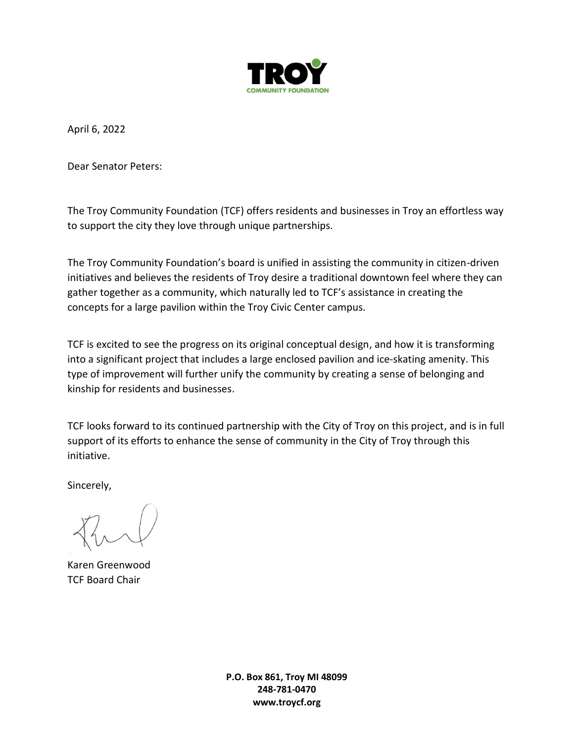

April 6, 2022

Dear Senator Peters:

The Troy Community Foundation (TCF) offers residents and businesses in Troy an effortless way to support the city they love through unique partnerships.

The Troy Community Foundation's board is unified in assisting the community in citizen-driven initiatives and believes the residents of Troy desire a traditional downtown feel where they can gather together as a community, which naturally led to TCF's assistance in creating the concepts for a large pavilion within the Troy Civic Center campus.

TCF is excited to see the progress on its original conceptual design, and how it is transforming into a significant project that includes a large enclosed pavilion and ice-skating amenity. This type of improvement will further unify the community by creating a sense of belonging and kinship for residents and businesses.

TCF looks forward to its continued partnership with the City of Troy on this project, and is in full support of its efforts to enhance the sense of community in the City of Troy through this initiative.

Sincerely,

Karen Greenwood TCF Board Chair

**P.O. Box 861, Troy MI 48099 248-781-0470 www.troycf.org**